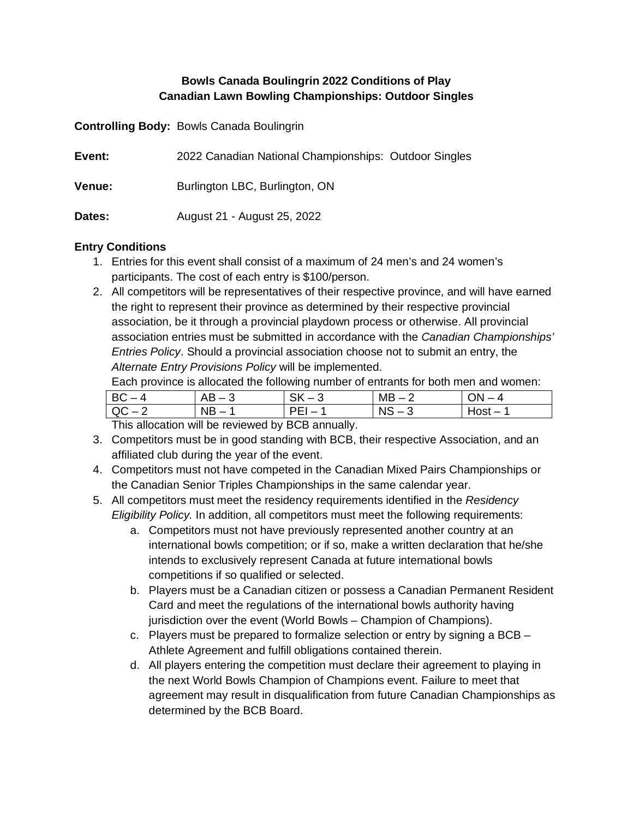# **Bowls Canada Boulingrin 2022 Conditions of Play Canadian Lawn Bowling Championships: Outdoor Singles**

**Controlling Body:** Bowls Canada Boulingrin

| Event:        | 2022 Canadian National Championships: Outdoor Singles |
|---------------|-------------------------------------------------------|
| <b>Venue:</b> | Burlington LBC, Burlington, ON                        |
| Dates:        | August 21 - August 25, 2022                           |

#### **Entry Conditions**

- 1. Entries for this event shall consist of a maximum of 24 men's and 24 women's participants. The cost of each entry is \$100/person.
- 2. All competitors will be representatives of their respective province, and will have earned the right to represent their province as determined by their respective provincial association, be it through a provincial playdown process or otherwise. All provincial association entries must be submitted in accordance with the *Canadian Championships' Entries Policy*. Should a provincial association choose not to submit an entry, the *Alternate Entry Provisions Policy* will be implemented.

Each province is allocated the following number of entrants for both men and women:

|          |           | . .                      |           |           |
|----------|-----------|--------------------------|-----------|-----------|
| $BC - 4$ | ^ ⊡<br>סר |                          | <b>MB</b> | $\bigcap$ |
| $QC - 1$ | <b>NB</b> |                          | N.S       | ∟dost     |
|          | .<br>. .  | $\sim$ $\sim$ $\sim$<br> |           |           |

This allocation will be reviewed by BCB annually.

- 3. Competitors must be in good standing with BCB, their respective Association, and an affiliated club during the year of the event.
- 4. Competitors must not have competed in the Canadian Mixed Pairs Championships or the Canadian Senior Triples Championships in the same calendar year.
- 5. All competitors must meet the residency requirements identified in the *Residency Eligibility Policy.* In addition, all competitors must meet the following requirements:
	- a. Competitors must not have previously represented another country at an international bowls competition; or if so, make a written declaration that he/she intends to exclusively represent Canada at future international bowls competitions if so qualified or selected.
	- b. Players must be a Canadian citizen or possess a Canadian Permanent Resident Card and meet the regulations of the international bowls authority having jurisdiction over the event (World Bowls – Champion of Champions).
	- c. Players must be prepared to formalize selection or entry by signing a BCB Athlete Agreement and fulfill obligations contained therein.
	- d. All players entering the competition must declare their agreement to playing in the next World Bowls Champion of Champions event. Failure to meet that agreement may result in disqualification from future Canadian Championships as determined by the BCB Board.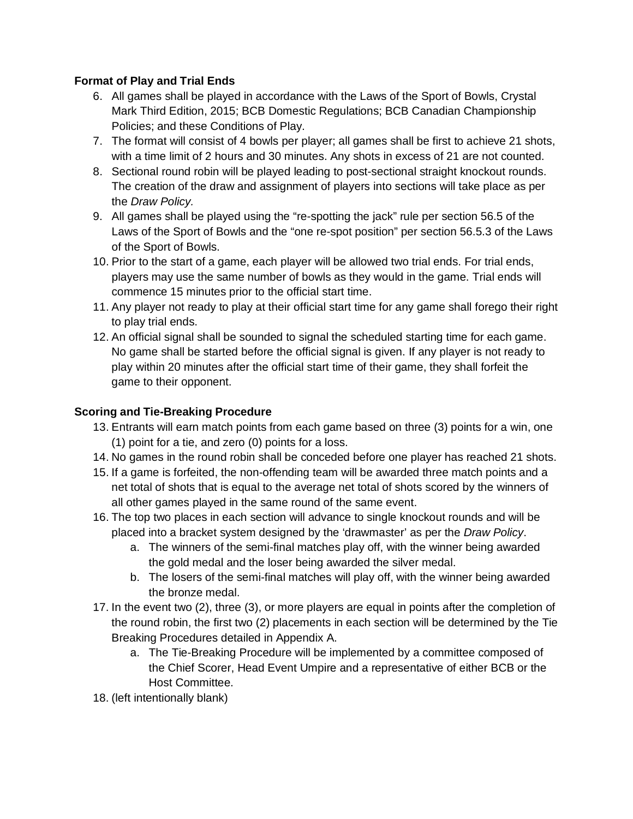# **Format of Play and Trial Ends**

- 6. All games shall be played in accordance with the Laws of the Sport of Bowls, Crystal Mark Third Edition, 2015; BCB Domestic Regulations; BCB Canadian Championship Policies; and these Conditions of Play.
- 7. The format will consist of 4 bowls per player; all games shall be first to achieve 21 shots, with a time limit of 2 hours and 30 minutes. Any shots in excess of 21 are not counted.
- 8. Sectional round robin will be played leading to post-sectional straight knockout rounds. The creation of the draw and assignment of players into sections will take place as per the *Draw Policy.*
- 9. All games shall be played using the "re-spotting the jack" rule per section 56.5 of the Laws of the Sport of Bowls and the "one re-spot position" per section 56.5.3 of the Laws of the Sport of Bowls.
- 10. Prior to the start of a game, each player will be allowed two trial ends. For trial ends, players may use the same number of bowls as they would in the game. Trial ends will commence 15 minutes prior to the official start time.
- 11. Any player not ready to play at their official start time for any game shall forego their right to play trial ends.
- 12. An official signal shall be sounded to signal the scheduled starting time for each game. No game shall be started before the official signal is given. If any player is not ready to play within 20 minutes after the official start time of their game, they shall forfeit the game to their opponent.

# **Scoring and Tie-Breaking Procedure**

- 13. Entrants will earn match points from each game based on three (3) points for a win, one (1) point for a tie, and zero (0) points for a loss.
- 14. No games in the round robin shall be conceded before one player has reached 21 shots.
- 15. If a game is forfeited, the non-offending team will be awarded three match points and a net total of shots that is equal to the average net total of shots scored by the winners of all other games played in the same round of the same event.
- 16. The top two places in each section will advance to single knockout rounds and will be placed into a bracket system designed by the 'drawmaster' as per the *Draw Policy*.
	- a. The winners of the semi-final matches play off, with the winner being awarded the gold medal and the loser being awarded the silver medal.
	- b. The losers of the semi-final matches will play off, with the winner being awarded the bronze medal.
- 17. In the event two (2), three (3), or more players are equal in points after the completion of the round robin, the first two (2) placements in each section will be determined by the Tie Breaking Procedures detailed in Appendix A.
	- a. The Tie-Breaking Procedure will be implemented by a committee composed of the Chief Scorer, Head Event Umpire and a representative of either BCB or the Host Committee.
- 18. (left intentionally blank)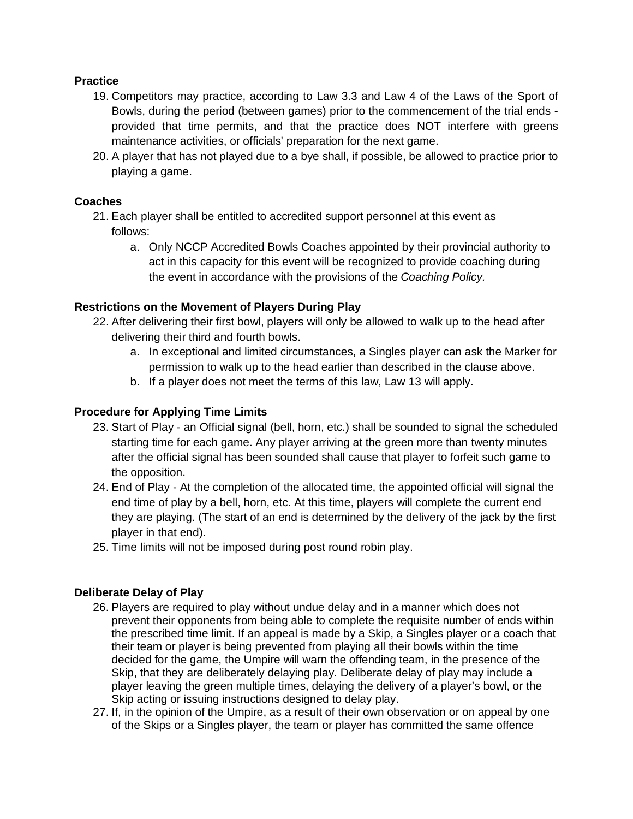#### **Practice**

- 19. Competitors may practice, according to Law 3.3 and Law 4 of the Laws of the Sport of Bowls, during the period (between games) prior to the commencement of the trial ends provided that time permits, and that the practice does NOT interfere with greens maintenance activities, or officials' preparation for the next game.
- 20. A player that has not played due to a bye shall, if possible, be allowed to practice prior to playing a game.

#### **Coaches**

- 21. Each player shall be entitled to accredited support personnel at this event as follows:
	- a. Only NCCP Accredited Bowls Coaches appointed by their provincial authority to act in this capacity for this event will be recognized to provide coaching during the event in accordance with the provisions of the *Coaching Policy.*

#### **Restrictions on the Movement of Players During Play**

- 22. After delivering their first bowl, players will only be allowed to walk up to the head after delivering their third and fourth bowls.
	- a. In exceptional and limited circumstances, a Singles player can ask the Marker for permission to walk up to the head earlier than described in the clause above.
	- b. If a player does not meet the terms of this law, Law 13 will apply.

## **Procedure for Applying Time Limits**

- 23. Start of Play an Official signal (bell, horn, etc.) shall be sounded to signal the scheduled starting time for each game. Any player arriving at the green more than twenty minutes after the official signal has been sounded shall cause that player to forfeit such game to the opposition.
- 24. End of Play At the completion of the allocated time, the appointed official will signal the end time of play by a bell, horn, etc. At this time, players will complete the current end they are playing. (The start of an end is determined by the delivery of the jack by the first player in that end).
- 25. Time limits will not be imposed during post round robin play.

#### **Deliberate Delay of Play**

- 26. Players are required to play without undue delay and in a manner which does not prevent their opponents from being able to complete the requisite number of ends within the prescribed time limit. If an appeal is made by a Skip, a Singles player or a coach that their team or player is being prevented from playing all their bowls within the time decided for the game, the Umpire will warn the offending team, in the presence of the Skip, that they are deliberately delaying play. Deliberate delay of play may include a player leaving the green multiple times, delaying the delivery of a player's bowl, or the Skip acting or issuing instructions designed to delay play.
- 27. If, in the opinion of the Umpire, as a result of their own observation or on appeal by one of the Skips or a Singles player, the team or player has committed the same offence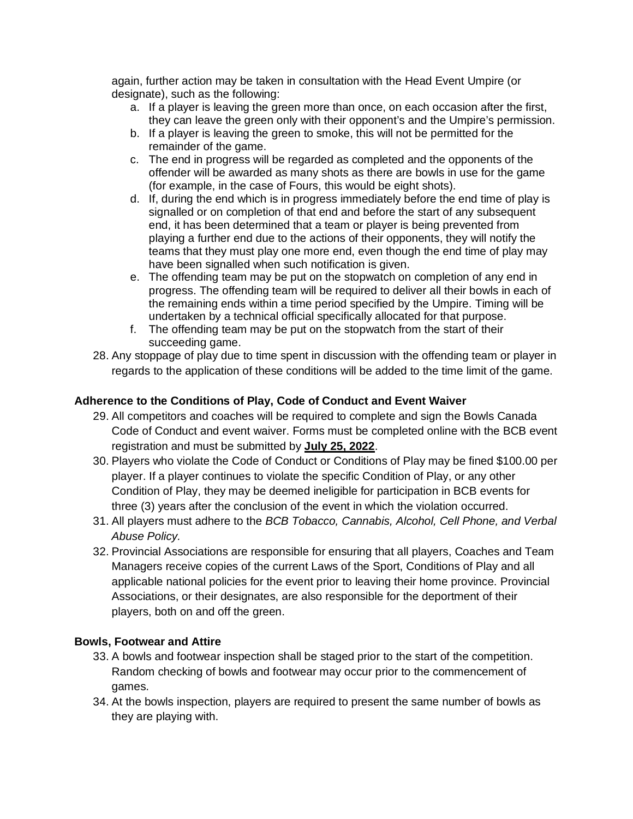again, further action may be taken in consultation with the Head Event Umpire (or designate), such as the following:

- a. If a player is leaving the green more than once, on each occasion after the first, they can leave the green only with their opponent's and the Umpire's permission.
- b. If a player is leaving the green to smoke, this will not be permitted for the remainder of the game.
- c. The end in progress will be regarded as completed and the opponents of the offender will be awarded as many shots as there are bowls in use for the game (for example, in the case of Fours, this would be eight shots).
- d. If, during the end which is in progress immediately before the end time of play is signalled or on completion of that end and before the start of any subsequent end, it has been determined that a team or player is being prevented from playing a further end due to the actions of their opponents, they will notify the teams that they must play one more end, even though the end time of play may have been signalled when such notification is given.
- e. The offending team may be put on the stopwatch on completion of any end in progress. The offending team will be required to deliver all their bowls in each of the remaining ends within a time period specified by the Umpire. Timing will be undertaken by a technical official specifically allocated for that purpose.
- f. The offending team may be put on the stopwatch from the start of their succeeding game.
- 28. Any stoppage of play due to time spent in discussion with the offending team or player in regards to the application of these conditions will be added to the time limit of the game.

#### **Adherence to the Conditions of Play, Code of Conduct and Event Waiver**

- 29. All competitors and coaches will be required to complete and sign the Bowls Canada Code of Conduct and event waiver. Forms must be completed online with the BCB event registration and must be submitted by **July 25, 2022**.
- 30. Players who violate the Code of Conduct or Conditions of Play may be fined \$100.00 per player. If a player continues to violate the specific Condition of Play, or any other Condition of Play, they may be deemed ineligible for participation in BCB events for three (3) years after the conclusion of the event in which the violation occurred.
- 31. All players must adhere to the *BCB Tobacco, Cannabis, Alcohol, Cell Phone, and Verbal Abuse Policy.*
- 32. Provincial Associations are responsible for ensuring that all players, Coaches and Team Managers receive copies of the current Laws of the Sport, Conditions of Play and all applicable national policies for the event prior to leaving their home province. Provincial Associations, or their designates, are also responsible for the deportment of their players, both on and off the green.

#### **Bowls, Footwear and Attire**

- 33. A bowls and footwear inspection shall be staged prior to the start of the competition. Random checking of bowls and footwear may occur prior to the commencement of games.
- 34. At the bowls inspection, players are required to present the same number of bowls as they are playing with.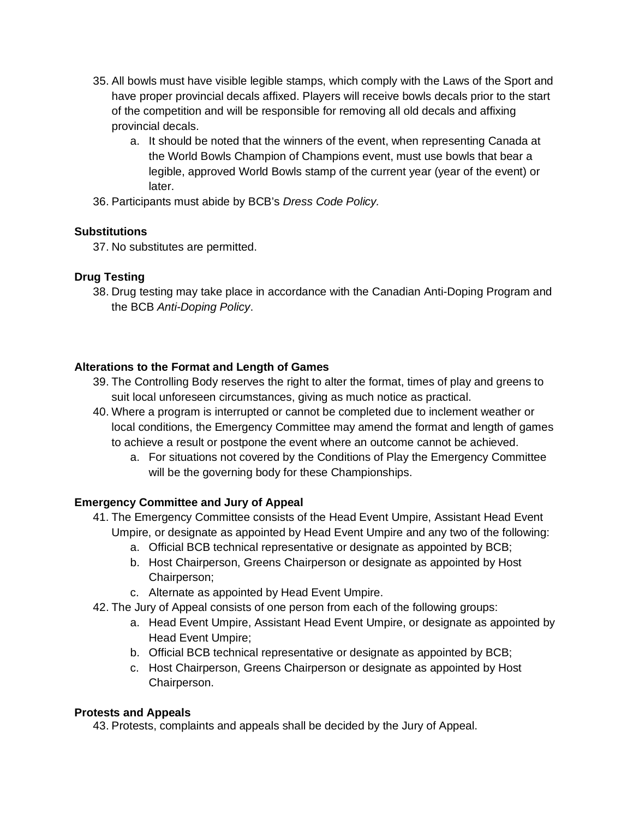- 35. All bowls must have visible legible stamps, which comply with the Laws of the Sport and have proper provincial decals affixed. Players will receive bowls decals prior to the start of the competition and will be responsible for removing all old decals and affixing provincial decals.
	- a. It should be noted that the winners of the event, when representing Canada at the World Bowls Champion of Champions event, must use bowls that bear a legible, approved World Bowls stamp of the current year (year of the event) or later.
- 36. Participants must abide by BCB's *Dress Code Policy.*

#### **Substitutions**

37. No substitutes are permitted.

# **Drug Testing**

38. Drug testing may take place in accordance with the Canadian Anti-Doping Program and the BCB *Anti-Doping Policy*.

#### **Alterations to the Format and Length of Games**

- 39. The Controlling Body reserves the right to alter the format, times of play and greens to suit local unforeseen circumstances, giving as much notice as practical.
- 40. Where a program is interrupted or cannot be completed due to inclement weather or local conditions, the Emergency Committee may amend the format and length of games to achieve a result or postpone the event where an outcome cannot be achieved.
	- a. For situations not covered by the Conditions of Play the Emergency Committee will be the governing body for these Championships.

# **Emergency Committee and Jury of Appeal**

- 41. The Emergency Committee consists of the Head Event Umpire, Assistant Head Event Umpire, or designate as appointed by Head Event Umpire and any two of the following:
	- a. Official BCB technical representative or designate as appointed by BCB;
	- b. Host Chairperson, Greens Chairperson or designate as appointed by Host Chairperson;
	- c. Alternate as appointed by Head Event Umpire.
- 42. The Jury of Appeal consists of one person from each of the following groups:
	- a. Head Event Umpire, Assistant Head Event Umpire, or designate as appointed by Head Event Umpire;
	- b. Official BCB technical representative or designate as appointed by BCB;
	- c. Host Chairperson, Greens Chairperson or designate as appointed by Host Chairperson.

#### **Protests and Appeals**

43. Protests, complaints and appeals shall be decided by the Jury of Appeal.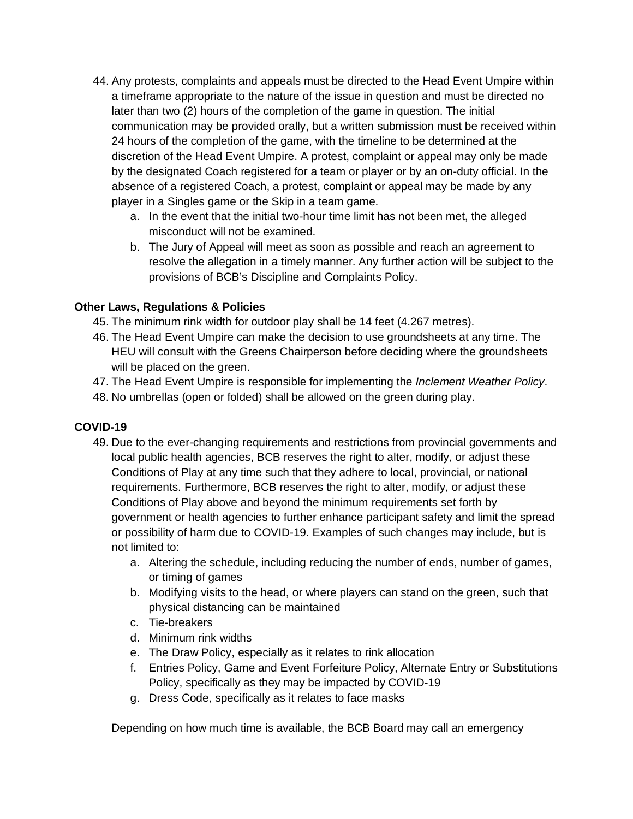- 44. Any protests, complaints and appeals must be directed to the Head Event Umpire within a timeframe appropriate to the nature of the issue in question and must be directed no later than two (2) hours of the completion of the game in question. The initial communication may be provided orally, but a written submission must be received within 24 hours of the completion of the game, with the timeline to be determined at the discretion of the Head Event Umpire. A protest, complaint or appeal may only be made by the designated Coach registered for a team or player or by an on-duty official. In the absence of a registered Coach, a protest, complaint or appeal may be made by any player in a Singles game or the Skip in a team game.
	- a. In the event that the initial two-hour time limit has not been met, the alleged misconduct will not be examined.
	- b. The Jury of Appeal will meet as soon as possible and reach an agreement to resolve the allegation in a timely manner. Any further action will be subject to the provisions of BCB's Discipline and Complaints Policy.

# **Other Laws, Regulations & Policies**

- 45. The minimum rink width for outdoor play shall be 14 feet (4.267 metres).
- 46. The Head Event Umpire can make the decision to use groundsheets at any time. The HEU will consult with the Greens Chairperson before deciding where the groundsheets will be placed on the green.
- 47. The Head Event Umpire is responsible for implementing the *Inclement Weather Policy*.
- 48. No umbrellas (open or folded) shall be allowed on the green during play.

# **COVID-19**

- 49. Due to the ever-changing requirements and restrictions from provincial governments and local public health agencies, BCB reserves the right to alter, modify, or adjust these Conditions of Play at any time such that they adhere to local, provincial, or national requirements. Furthermore, BCB reserves the right to alter, modify, or adjust these Conditions of Play above and beyond the minimum requirements set forth by government or health agencies to further enhance participant safety and limit the spread or possibility of harm due to COVID-19. Examples of such changes may include, but is not limited to:
	- a. Altering the schedule, including reducing the number of ends, number of games, or timing of games
	- b. Modifying visits to the head, or where players can stand on the green, such that physical distancing can be maintained
	- c. Tie-breakers
	- d. Minimum rink widths
	- e. The Draw Policy, especially as it relates to rink allocation
	- f. Entries Policy, Game and Event Forfeiture Policy, Alternate Entry or Substitutions Policy, specifically as they may be impacted by COVID-19
	- g. Dress Code, specifically as it relates to face masks

Depending on how much time is available, the BCB Board may call an emergency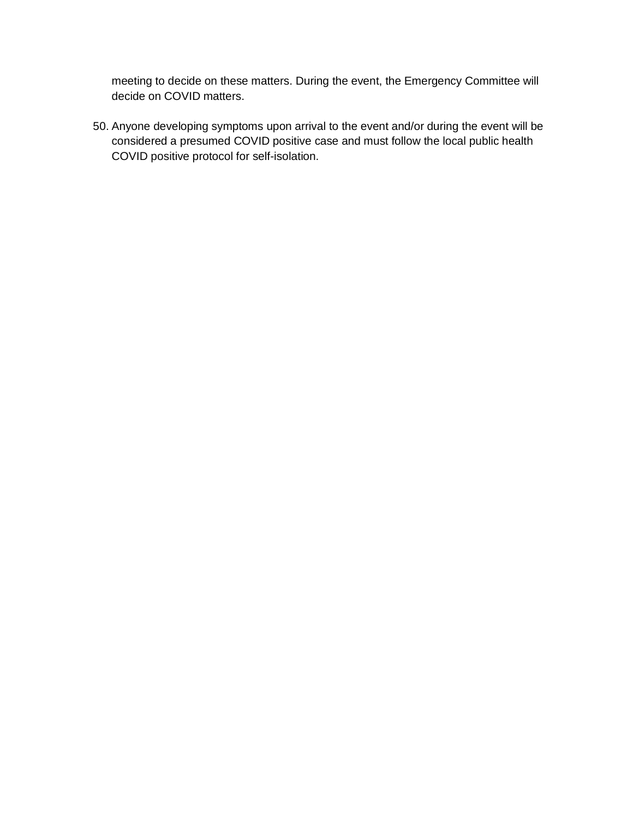meeting to decide on these matters. During the event, the Emergency Committee will decide on COVID matters.

50. Anyone developing symptoms upon arrival to the event and/or during the event will be considered a presumed COVID positive case and must follow the local public health COVID positive protocol for self-isolation.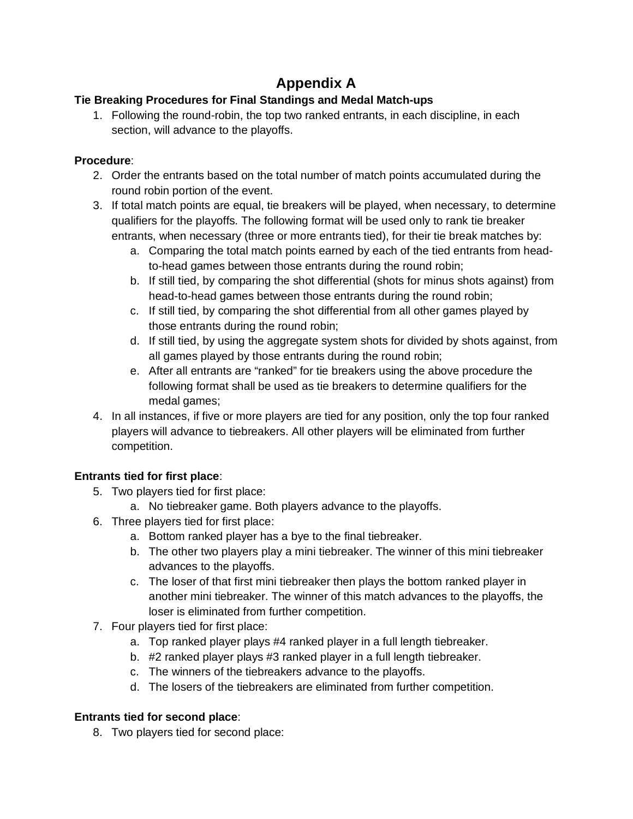# **Appendix A**

# **Tie Breaking Procedures for Final Standings and Medal Match-ups**

1. Following the round-robin, the top two ranked entrants, in each discipline, in each section, will advance to the playoffs.

# **Procedure**:

- 2. Order the entrants based on the total number of match points accumulated during the round robin portion of the event.
- 3. If total match points are equal, tie breakers will be played, when necessary, to determine qualifiers for the playoffs. The following format will be used only to rank tie breaker entrants, when necessary (three or more entrants tied), for their tie break matches by:
	- a. Comparing the total match points earned by each of the tied entrants from headto-head games between those entrants during the round robin;
	- b. If still tied, by comparing the shot differential (shots for minus shots against) from head-to-head games between those entrants during the round robin;
	- c. If still tied, by comparing the shot differential from all other games played by those entrants during the round robin;
	- d. If still tied, by using the aggregate system shots for divided by shots against, from all games played by those entrants during the round robin;
	- e. After all entrants are "ranked" for tie breakers using the above procedure the following format shall be used as tie breakers to determine qualifiers for the medal games;
- 4. In all instances, if five or more players are tied for any position, only the top four ranked players will advance to tiebreakers. All other players will be eliminated from further competition.

# **Entrants tied for first place**:

- 5. Two players tied for first place:
	- a. No tiebreaker game. Both players advance to the playoffs.
- 6. Three players tied for first place:
	- a. Bottom ranked player has a bye to the final tiebreaker.
	- b. The other two players play a mini tiebreaker. The winner of this mini tiebreaker advances to the playoffs.
	- c. The loser of that first mini tiebreaker then plays the bottom ranked player in another mini tiebreaker. The winner of this match advances to the playoffs, the loser is eliminated from further competition.
- 7. Four players tied for first place:
	- a. Top ranked player plays #4 ranked player in a full length tiebreaker.
	- b. #2 ranked player plays #3 ranked player in a full length tiebreaker.
	- c. The winners of the tiebreakers advance to the playoffs.
	- d. The losers of the tiebreakers are eliminated from further competition.

# **Entrants tied for second place**:

8. Two players tied for second place: